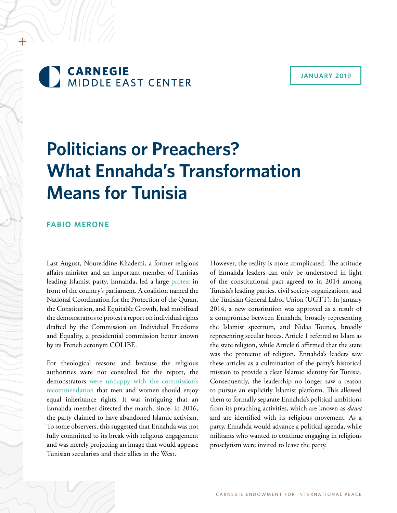

#### **JANUARY 2019**

# **Politicians or Preachers? What Ennahda's Transformation Means for Tunisia**

## **FABIO MERONE**

Last August, Noureddine Khademi, a former religious affairs minister and an important member of Tunisia's leading Islamist party, Ennahda, led a large protest in front of the country's parliament. A coalition named the National Coordination for the Protection of the Quran, the Constitution, and Equitable Growth, had mobilized the demonstrators to protest a report on individual rights drafted by the Commission on Individual Freedoms and Equality, a presidential commission better known by its French acronym COLIBE.

For theological reasons and because the religious authorities were not consulted for the report, the demonstrators were unhappy with the commission's recommendation that men and women should enjoy equal inheritance rights. It was intriguing that an Ennahda member directed the march, since, in 2016, the party claimed to have abandoned Islamic activism. To some observers, this suggested that Ennahda was not fully committed to its break with religious engagement and was merely projecting an image that would appease Tunisian secularists and their allies in the West.

However, the reality is more complicated. The attitude of Ennahda leaders can only be understood in light of the constitutional pact agreed to in 2014 among Tunisia's leading parties, civil society organizations, and the Tunisian General Labor Union (UGTT). In January 2014, a new constitution was approved as a result of a compromise between Ennahda, broadly representing the Islamist spectrum, and Nidaa Tounes, broadly representing secular forces. Article 1 referred to Islam as the state religion, while Article 6 affirmed that the state was the protector of religion. Ennahda's leaders saw these articles as a culmination of the party's historical mission to provide a clear Islamic identity for Tunisia. Consequently, the leadership no longer saw a reason to pursue an explicitly Islamist platform. This allowed them to formally separate Ennahda's political ambitions from its preaching activities, which are known as *dawa*  and are identified with its religious movement. As a party, Ennahda would advance a political agenda, while militants who wanted to continue engaging in religious proselytism were invited to leave the party.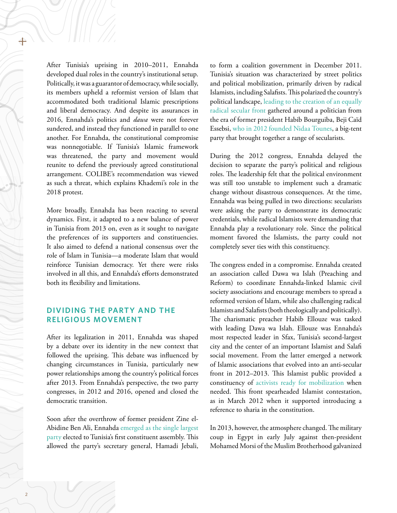After Tunisia's uprising in 2010–2011, Ennahda developed dual roles in the country's institutional setup. Politically, it was a guarantor of democracy, while socially, its members upheld a reformist version of Islam that accommodated both traditional Islamic prescriptions and liberal democracy. And despite its assurances in 2016, Ennahda's politics and *dawa* were not forever sundered, and instead they functioned in parallel to one another. For Ennahda, the constitutional compromise was nonnegotiable. If Tunisia's Islamic framework was threatened, the party and movement would reunite to defend the previously agreed constitutional arrangement. COLIBE's recommendation was viewed as such a threat, which explains Khademi's role in the 2018 protest.

More broadly, Ennahda has been reacting to several dynamics. First, it adapted to a new balance of power in Tunisia from 2013 on, even as it sought to navigate the preferences of its supporters and constituencies. It also aimed to defend a national consensus over the role of Islam in Tunisia—a moderate Islam that would reinforce Tunisian democracy. Yet there were risks involved in all this, and Ennahda's efforts demonstrated both its flexibility and limitations.

## **DIVIDING THE PARTY AND THE RELIGIOUS MOVEMENT**

After its legalization in 2011, Ennahda was shaped by a debate over its identity in the new context that followed the uprising. This debate was influenced by changing circumstances in Tunisia, particularly new power relationships among the country's political forces after 2013. From Ennahda's perspective, the two party congresses, in 2012 and 2016, opened and closed the democratic transition.

Soon after the overthrow of former president Zine el-Abidine Ben Ali, Ennahda emerged as the single largest party elected to Tunisia's first constituent assembly. This allowed the party's secretary general, Hamadi Jebali,

to form a coalition government in December 2011. Tunisia's situation was characterized by street politics and political mobilization, primarily driven by radical Islamists, including Salafists. This polarized the country's political landscape, leading to the creation of an equally radical secular front gathered around a politician from the era of former president Habib Bourguiba, Beji Caïd Essebsi, who in 2012 founded Nidaa Tounes, a big-tent party that brought together a range of secularists.

During the 2012 congress, Ennahda delayed the decision to separate the party's political and religious roles. The leadership felt that the political environment was still too unstable to implement such a dramatic change without disastrous consequences. At the time, Ennahda was being pulled in two directions: secularists were asking the party to demonstrate its democratic credentials, while radical Islamists were demanding that Ennahda play a revolutionary role. Since the political moment favored the Islamists, the party could not completely sever ties with this constituency.

The congress ended in a compromise. Ennahda created an association called Dawa wa Islah (Preaching and Reform) to coordinate Ennahda-linked Islamic civil society associations and encourage members to spread a reformed version of Islam, while also challenging radical Islamists and Salafists (both theologically and politically). The charismatic preacher Habib Ellouze was tasked with leading Dawa wa Islah. Ellouze was Ennahda's most respected leader in Sfax, Tunisia's second-largest city and the center of an important Islamist and Salafi social movement. From the latter emerged a network of Islamic associations that evolved into an anti-secular front in 2012–2013. This Islamist public provided a constituency of activists ready for mobilization when needed. This front spearheaded Islamist contestation, as in March 2012 when it supported introducing a reference to sharia in the constitution.

In 2013, however, the atmosphere changed. The military coup in Egypt in early July against then-president Mohamed Morsi of the Muslim Brotherhood galvanized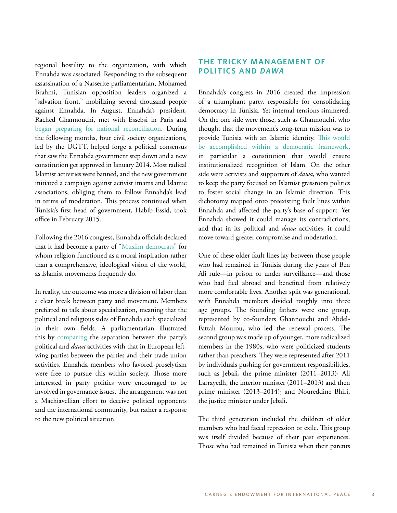regional hostility to the organization, with which Ennahda was associated. Responding to the subsequent assassination of a Nasserite parliamentarian, Mohamed Brahmi, Tunisian opposition leaders organized a "salvation front," mobilizing several thousand people against Ennahda. In August, Ennahda's president, Rached Ghannouchi, met with Essebsi in Paris and began preparing for national reconciliation. During the following months, four civil society organizations, led by the UGTT, helped forge a political consensus that saw the Ennahda government step down and a new constitution get approved in January 2014. Most radical Islamist activities were banned, and the new government initiated a campaign against activist imams and Islamic associations, obliging them to follow Ennahda's lead in terms of moderation. This process continued when Tunisia's first head of government, Habib Essid, took office in February 2015.

Following the 2016 congress, Ennahda officials declared that it had become a party of "Muslim democrats" for whom religion functioned as a moral inspiration rather than a comprehensive, ideological vision of the world, as Islamist movements frequently do.

In reality, the outcome was more a division of labor than a clear break between party and movement. Members preferred to talk about specialization, meaning that the political and religious sides of Ennahda each specialized in their own fields. A parliamentarian illustrated this by comparing the separation between the party's political and *dawa* activities with that in European leftwing parties between the parties and their trade union activities. Ennahda members who favored proselytism were free to pursue this within society. Those more interested in party politics were encouraged to be involved in governance issues. The arrangement was not a Machiavellian effort to deceive political opponents and the international community, but rather a response to the new political situation.

## **THE TRICKY MANAGEMENT OF POLITICS AND** *DAWA*

Ennahda's congress in 2016 created the impression of a triumphant party, responsible for consolidating democracy in Tunisia. Yet internal tensions simmered. On the one side were those, such as Ghannouchi, who thought that the movement's long-term mission was to provide Tunisia with an Islamic identity. This would be accomplished within a democratic framework, in particular a constitution that would ensure institutionalized recognition of Islam. On the other side were activists and supporters of *dawa*, who wanted to keep the party focused on Islamist grassroots politics to foster social change in an Islamic direction. This dichotomy mapped onto preexisting fault lines within Ennahda and affected the party's base of support. Yet Ennahda showed it could manage its contradictions, and that in its political and *dawa* activities, it could move toward greater compromise and moderation.

One of these older fault lines lay between those people who had remained in Tunisia during the years of Ben Ali rule—in prison or under surveillance—and those who had fled abroad and benefited from relatively more comfortable lives. Another split was generational, with Ennahda members divided roughly into three age groups. The founding fathers were one group, represented by co-founders Ghannouchi and Abdel-Fattah Mourou, who led the renewal process. The second group was made up of younger, more radicalized members in the 1980s, who were politicized students rather than preachers. They were represented after 2011 by individuals pushing for government responsibilities, such as Jebali, the prime minister (2011–2013); Ali Larrayedh, the interior minister (2011–2013) and then prime minister (2013–2014); and Noureddine Bhiri, the justice minister under Jebali.

The third generation included the children of older members who had faced repression or exile. This group was itself divided because of their past experiences. Those who had remained in Tunisia when their parents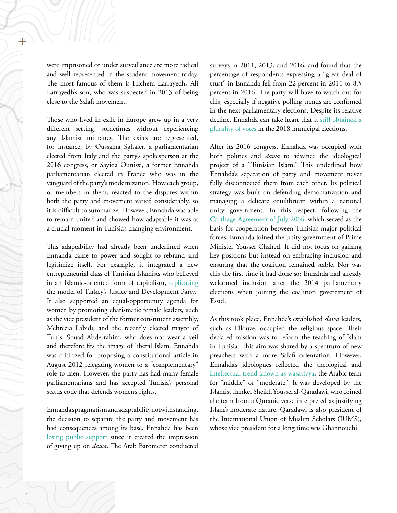were imprisoned or under surveillance are more radical and well represented in the student movement today. The most famous of them is Hichem Larrayedh, Ali Larrayedh's son, who was suspected in 2013 of being close to the Salafi movement.

Those who lived in exile in Europe grew up in a very different setting, sometimes without experiencing any Islamist militancy. The exiles are represented, for instance, by Oussama Sghaier, a parliamentarian elected from Italy and the party's spokesperson at the 2016 congress, or Sayida Ounissi, a former Ennahda parliamentarian elected in France who was in the vanguard of the party's modernization. How each group, or members in them, reacted to the disputes within both the party and movement varied considerably, so it is difficult to summarize. However, Ennahda was able to remain united and showed how adaptable it was at a crucial moment in Tunisia's changing environment.

This adaptability had already been underlined when Ennahda came to power and sought to rebrand and legitimize itself. For example, it integrated a new entrepreneurial class of Tunisian Islamists who believed in an Islamic-oriented form of capitalism, replicating the model of Turkey's Justice and Development Party.<sup>1</sup> It also supported an equal-opportunity agenda for women by promoting charismatic female leaders, such as the vice president of the former constituent assembly, Mehrezia Labidi, and the recently elected mayor of Tunis, Souad Abderrahim, who does not wear a veil and therefore fits the image of liberal Islam. Ennahda was criticized for proposing a constitutional article in August 2012 relegating women to a "complementary" role to men. However, the party has had many female parliamentarians and has accepted Tunisia's personal status code that defends women's rights.

Ennahda's pragmatism and adaptability notwithstanding, the decision to separate the party and movement has had consequences among its base. Ennahda has been losing public support since it created the impression of giving up on *dawa*. The Arab Barometer conducted surveys in 2011, 2013, and 2016, and found that the percentage of respondents expressing a "great deal of trust" in Ennahda fell from 22 percent in 2011 to 8.5 percent in 2016. The party will have to watch out for this, especially if negative polling trends are confirmed in the next parliamentary elections. Despite its relative decline, Ennahda can take heart that it still obtained a plurality of votes in the 2018 municipal elections.

After its 2016 congress, Ennahda was occupied with both politics and *dawa* to advance the ideological project of a "Tunisian Islam." This underlined how Ennahda's separation of party and movement never fully disconnected them from each other. Its political strategy was built on defending democratization and managing a delicate equilibrium within a national unity government. In this respect, following the Carthage Agreement of July 2016, which served as the basis for cooperation between Tunisia's major political forces, Ennahda joined the unity government of Prime Minister Youssef Chahed. It did not focus on gaining key positions but instead on embracing inclusion and ensuring that the coalition remained stable. Nor was this the first time it had done so: Ennahda had already welcomed inclusion after the 2014 parliamentary elections when joining the coalition government of Essid.

As this took place, Ennahda's established *dawa* leaders, such as Ellouze, occupied the religious space. Their declared mission was to reform the teaching of Islam in Tunisia. This aim was shared by a spectrum of new preachers with a more Salafi orientation. However, Ennahda's ideologues reflected the theological and intellectual trend known as wasatiyya, the Arabic term for "middle" or "moderate." It was developed by the Islamist thinker Sheikh Youssef al-Qaradawi, who coined the term from a Quranic verse interpreted as justifying Islam's moderate nature. Qaradawi is also president of the International Union of Muslim Scholars (IUMS), whose vice president for a long time was Ghannouchi.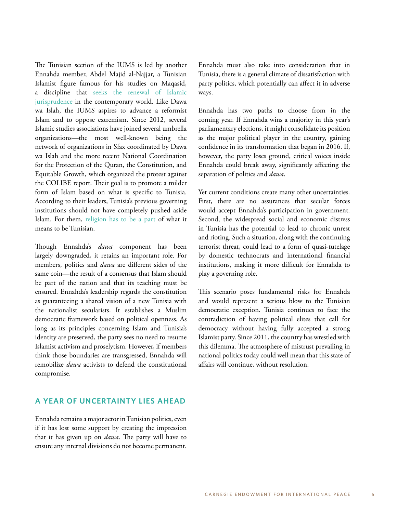The Tunisian section of the IUMS is led by another Ennahda member, Abdel Majid al-Najjar, a Tunisian Islamist figure famous for his studies on Maqasid, a discipline that seeks the renewal of Islamic jurisprudence in the contemporary world. Like Dawa wa Islah, the IUMS aspires to advance a reformist Islam and to oppose extremism. Since 2012, several Islamic studies associations have joined several umbrella organizations—the most well-known being the network of organizations in Sfax coordinated by Dawa wa Islah and the more recent National Coordination for the Protection of the Quran, the Constitution, and Equitable Growth, which organized the protest against the COLIBE report. Their goal is to promote a milder form of Islam based on what is specific to Tunisia. According to their leaders, Tunisia's previous governing institutions should not have completely pushed aside Islam. For them, religion has to be a part of what it means to be Tunisian.

Though Ennahda's *dawa* component has been largely downgraded, it retains an important role. For members, politics and *dawa* are different sides of the same coin—the result of a consensus that Islam should be part of the nation and that its teaching must be ensured. Ennahda's leadership regards the constitution as guaranteeing a shared vision of a new Tunisia with the nationalist secularists. It establishes a Muslim democratic framework based on political openness. As long as its principles concerning Islam and Tunisia's identity are preserved, the party sees no need to resume Islamist activism and proselytism. However, if members think those boundaries are transgressed, Ennahda will remobilize *dawa* activists to defend the constitutional compromise.

#### **A YEAR OF UNCERTAINTY LIES AHEAD**

Ennahda remains a major actor in Tunisian politics, even if it has lost some support by creating the impression that it has given up on *dawa*. The party will have to ensure any internal divisions do not become permanent.

Ennahda must also take into consideration that in Tunisia, there is a general climate of dissatisfaction with party politics, which potentially can affect it in adverse ways.

Ennahda has two paths to choose from in the coming year. If Ennahda wins a majority in this year's parliamentary elections, it might consolidate its position as the major political player in the country, gaining confidence in its transformation that began in 2016. If, however, the party loses ground, critical voices inside Ennahda could break away, significantly affecting the separation of politics and *dawa*.

Yet current conditions create many other uncertainties. First, there are no assurances that secular forces would accept Ennahda's participation in government. Second, the widespread social and economic distress in Tunisia has the potential to lead to chronic unrest and rioting. Such a situation, along with the continuing terrorist threat, could lead to a form of quasi-tutelage by domestic technocrats and international financial institutions, making it more difficult for Ennahda to play a governing role.

This scenario poses fundamental risks for Ennahda and would represent a serious blow to the Tunisian democratic exception. Tunisia continues to face the contradiction of having political elites that call for democracy without having fully accepted a strong Islamist party. Since 2011, the country has wrestled with this dilemma. The atmosphere of mistrust prevailing in national politics today could well mean that this state of affairs will continue, without resolution.